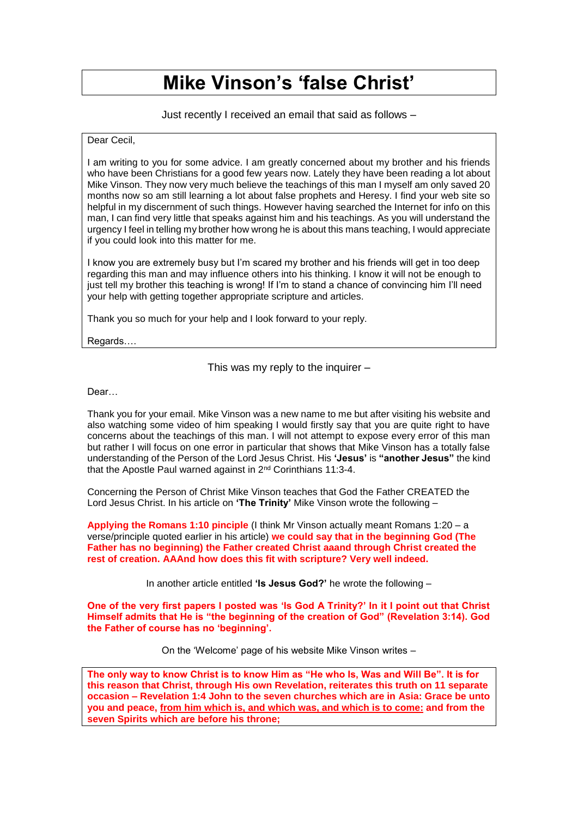## **Mike Vinson's 'false Christ'**

Just recently I received an email that said as follows –

## Dear Cecil,

I am writing to you for some advice. I am greatly concerned about my brother and his friends who have been Christians for a good few years now. Lately they have been reading a lot about Mike Vinson. They now very much believe the teachings of this man I myself am only saved 20 months now so am still learning a lot about false prophets and Heresy. I find your web site so helpful in my discernment of such things. However having searched the Internet for info on this man, I can find very little that speaks against him and his teachings. As you will understand the urgency I feel in telling my brother how wrong he is about this mans teaching, I would appreciate if you could look into this matter for me.

I know you are extremely busy but I'm scared my brother and his friends will get in too deep regarding this man and may influence others into his thinking. I know it will not be enough to just tell my brother this teaching is wrong! If I'm to stand a chance of convincing him I'll need your help with getting together appropriate scripture and articles.

Thank you so much for your help and I look forward to your reply.

Regards….

This was my reply to the inquirer –

Dear…

Thank you for your email. Mike Vinson was a new name to me but after visiting his website and also watching some video of him speaking I would firstly say that you are quite right to have concerns about the teachings of this man. I will not attempt to expose every error of this man but rather I will focus on one error in particular that shows that Mike Vinson has a totally false understanding of the Person of the Lord Jesus Christ. His **'Jesus'** is **"another Jesus"** the kind that the Apostle Paul warned against in 2nd Corinthians 11:3-4.

Concerning the Person of Christ Mike Vinson teaches that God the Father CREATED the Lord Jesus Christ. In his article on **'The Trinity'** Mike Vinson wrote the following –

**Applying the Romans 1:10 pinciple** (I think Mr Vinson actually meant Romans 1:20 – a verse/principle quoted earlier in his article) **we could say that in the beginning God (The Father has no beginning) the Father created Christ aaand through Christ created the rest of creation. AAAnd how does this fit with scripture? Very well indeed.**

In another article entitled **'Is Jesus God?'** he wrote the following –

One of the very first papers I posted was 'Is God A Trinity?' In it I point out that Christ **Himself admits that He is "the beginning of the creation of God" (Revelation 3:14). God the Father of course has no 'beginning'.**

On the 'Welcome' page of his website Mike Vinson writes –

**The only way to know Christ is to know Him as "He who Is, Was and Will Be". It is for this reason that Christ, through His own Revelation, reiterates this truth on 11 separate occasion – Revelation 1:4 John to the seven churches which are in Asia: Grace be unto you and peace, from him which is, and which was, and which is to come: and from the seven Spirits which are before his throne;**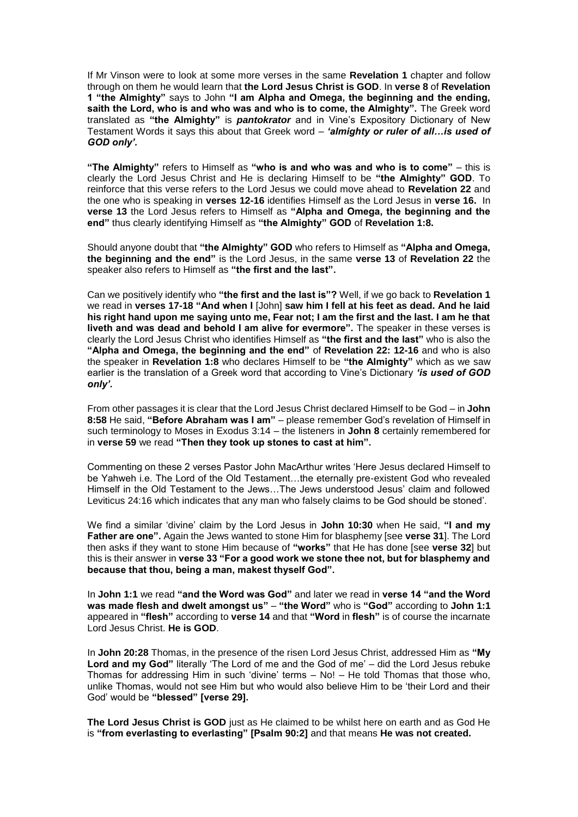If Mr Vinson were to look at some more verses in the same **Revelation 1** chapter and follow through on them he would learn that **the Lord Jesus Christ is GOD**. In **verse 8** of **Revelation 1 "the Almighty"** says to John **"I am Alpha and Omega, the beginning and the ending, saith the Lord, who is and who was and who is to come, the Almighty".** The Greek word translated as **"the Almighty"** is *pantokrator* and in Vine's Expository Dictionary of New Testament Words it says this about that Greek word – *'almighty or ruler of all…is used of GOD only'.*

**"The Almighty"** refers to Himself as **"who is and who was and who is to come"** – this is clearly the Lord Jesus Christ and He is declaring Himself to be **"the Almighty" GOD**. To reinforce that this verse refers to the Lord Jesus we could move ahead to **Revelation 22** and the one who is speaking in **verses 12-16** identifies Himself as the Lord Jesus in **verse 16.** In **verse 13** the Lord Jesus refers to Himself as **"Alpha and Omega, the beginning and the end"** thus clearly identifying Himself as **"the Almighty" GOD** of **Revelation 1:8.** 

Should anyone doubt that **"the Almighty" GOD** who refers to Himself as **"Alpha and Omega, the beginning and the end"** is the Lord Jesus, in the same **verse 13** of **Revelation 22** the speaker also refers to Himself as **"the first and the last".** 

Can we positively identify who **"the first and the last is"?** Well, if we go back to **Revelation 1**  we read in **verses 17-18 "And when I** [John] **saw him I fell at his feet as dead. And he laid his right hand upon me saying unto me, Fear not; I am the first and the last. I am he that liveth and was dead and behold I am alive for evermore".** The speaker in these verses is clearly the Lord Jesus Christ who identifies Himself as **"the first and the last"** who is also the **"Alpha and Omega, the beginning and the end"** of **Revelation 22: 12-16** and who is also the speaker in **Revelation 1:8** who declares Himself to be **"the Almighty"** which as we saw earlier is the translation of a Greek word that according to Vine's Dictionary *'is used of GOD only'.*

From other passages it is clear that the Lord Jesus Christ declared Himself to be God – in **John 8:58** He said, **"Before Abraham was I am"** – please remember God's revelation of Himself in such terminology to Moses in Exodus 3:14 – the listeners in **John 8** certainly remembered for in **verse 59** we read **"Then they took up stones to cast at him".** 

Commenting on these 2 verses Pastor John MacArthur writes 'Here Jesus declared Himself to be Yahweh i.e. The Lord of the Old Testament…the eternally pre-existent God who revealed Himself in the Old Testament to the Jews…The Jews understood Jesus' claim and followed Leviticus 24:16 which indicates that any man who falsely claims to be God should be stoned'.

We find a similar 'divine' claim by the Lord Jesus in **John 10:30** when He said, **"I and my Father are one".** Again the Jews wanted to stone Him for blasphemy [see **verse 31**]. The Lord then asks if they want to stone Him because of **"works"** that He has done [see **verse 32**] but this is their answer in **verse 33 "For a good work we stone thee not, but for blasphemy and because that thou, being a man, makest thyself God".** 

In **John 1:1** we read **"and the Word was God"** and later we read in **verse 14 "and the Word was made flesh and dwelt amongst us"** – **"the Word"** who is **"God"** according to **John 1:1**  appeared in **"flesh"** according to **verse 14** and that **"Word** in **flesh"** is of course the incarnate Lord Jesus Christ. **He is GOD**.

In **John 20:28** Thomas, in the presence of the risen Lord Jesus Christ, addressed Him as **"My Lord and my God"** literally 'The Lord of me and the God of me' – did the Lord Jesus rebuke Thomas for addressing Him in such 'divine' terms – No! – He told Thomas that those who, unlike Thomas, would not see Him but who would also believe Him to be 'their Lord and their God' would be **"blessed" [verse 29].** 

**The Lord Jesus Christ is GOD** just as He claimed to be whilst here on earth and as God He is **"from everlasting to everlasting" [Psalm 90:2]** and that means **He was not created.**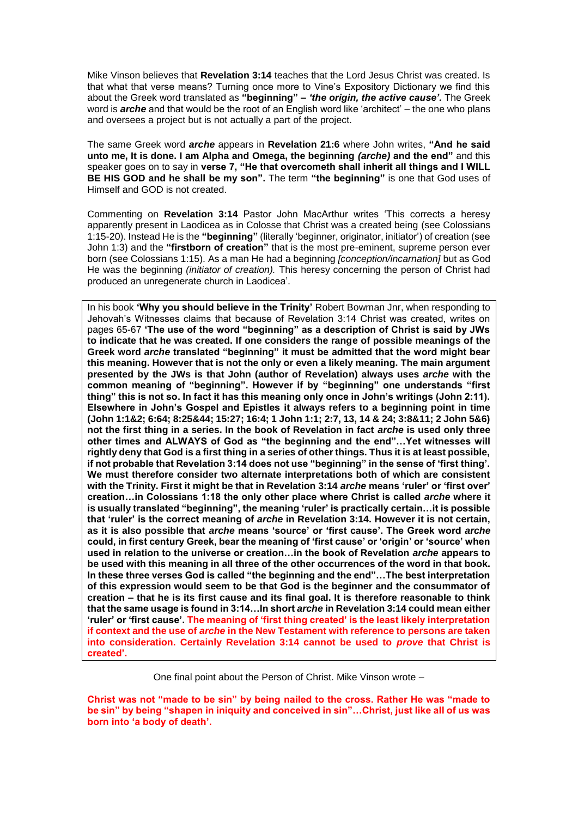Mike Vinson believes that **Revelation 3:14** teaches that the Lord Jesus Christ was created. Is that what that verse means? Turning once more to Vine's Expository Dictionary we find this about the Greek word translated as **"beginning" –** *'the origin, the active cause'.* The Greek word is *arche* and that would be the root of an English word like 'architect' – the one who plans and oversees a project but is not actually a part of the project.

The same Greek word *arche* appears in **Revelation 21:6** where John writes, **"And he said unto me, It is done. I am Alpha and Omega, the beginning** *(arche)* **and the end"** and this speaker goes on to say in **verse 7, "He that overcometh shall inherit all things and I WILL BE HIS GOD and he shall be my son".** The term **"the beginning"** is one that God uses of Himself and GOD is not created.

Commenting on **Revelation 3:14** Pastor John MacArthur writes 'This corrects a heresy apparently present in Laodicea as in Colosse that Christ was a created being (see Colossians 1:15-20). Instead He is the **"beginning"** (literally 'beginner, originator, initiator') of creation (see John 1:3) and the **"firstborn of creation"** that is the most pre-eminent, supreme person ever born (see Colossians 1:15). As a man He had a beginning *[conception/incarnation]* but as God He was the beginning *(initiator of creation).* This heresy concerning the person of Christ had produced an unregenerate church in Laodicea'.

In his book **'Why you should believe in the Trinity'** Robert Bowman Jnr, when responding to Jehovah's Witnesses claims that because of Revelation 3:14 Christ was created, writes on pages 65-67 **'The use of the word "beginning" as a description of Christ is said by JWs to indicate that he was created. If one considers the range of possible meanings of the Greek word** *arche* **translated "beginning" it must be admitted that the word might bear this meaning. However that is not the only or even a likely meaning. The main argument presented by the JWs is that John (author of Revelation) always uses** *arche* **with the common meaning of "beginning". However if by "beginning" one understands "first thing" this is not so. In fact it has this meaning only once in John's writings (John 2:11). Elsewhere in John's Gospel and Epistles it always refers to a beginning point in time (John 1:1&2; 6:64; 8:25&44; 15:27; 16:4; 1 John 1:1; 2:7, 13, 14 & 24; 3:8&11; 2 John 5&6) not the first thing in a series. In the book of Revelation in fact** *arche* **is used only three other times and ALWAYS of God as "the beginning and the end"…Yet witnesses will rightly deny that God is a first thing in a series of other things. Thus it is at least possible, if not probable that Revelation 3:14 does not use "beginning" in the sense of 'first thing'. We must therefore consider two alternate interpretations both of which are consistent**  with the Trinity. First it might be that in Revelation 3:14 *arche* means 'ruler' or 'first over' **creation…in Colossians 1:18 the only other place where Christ is called** *arche* **where it is usually translated "beginning", the meaning 'ruler' is practically certain…it is possible that 'ruler' is the correct meaning of** *arche* **in Revelation 3:14. However it is not certain, as it is also possible that** *arche* **means 'source' or 'first cause'. The Greek word** *arche*  **could, in first century Greek, bear the meaning of 'first cause' or 'origin' or 'source' when used in relation to the universe or creation…in the book of Revelation** *arche* **appears to be used with this meaning in all three of the other occurrences of the word in that book. In these three verses God is called "the beginning and the end"…The best interpretation of this expression would seem to be that God is the beginner and the consummator of creation – that he is its first cause and its final goal. It is therefore reasonable to think that the same usage is found in 3:14…In short** *arche* **in Revelation 3:14 could mean either 'ruler' or 'first cause'. The meaning of 'first thing created' is the least likely interpretation if context and the use of** *arche* **in the New Testament with reference to persons are taken into consideration. Certainly Revelation 3:14 cannot be used to** *prove* **that Christ is created'.**

One final point about the Person of Christ. Mike Vinson wrote –

**Christ was not "made to be sin" by being nailed to the cross. Rather He was "made to be sin" by being "shapen in iniquity and conceived in sin"…Christ, just like all of us was born into 'a body of death'.**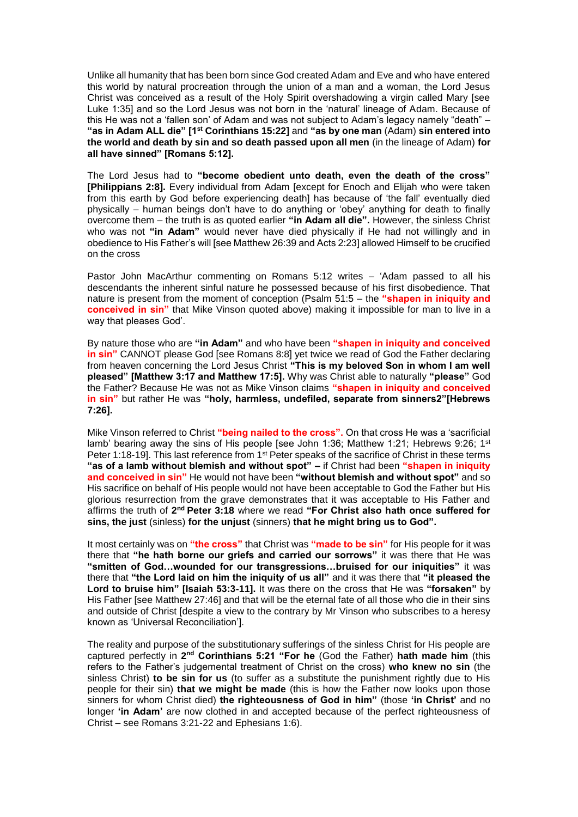Unlike all humanity that has been born since God created Adam and Eve and who have entered this world by natural procreation through the union of a man and a woman, the Lord Jesus Christ was conceived as a result of the Holy Spirit overshadowing a virgin called Mary [see Luke 1:35] and so the Lord Jesus was not born in the 'natural' lineage of Adam. Because of this He was not a 'fallen son' of Adam and was not subject to Adam's legacy namely "death" – **"as in Adam ALL die" [1st Corinthians 15:22]** and **"as by one man** (Adam) **sin entered into the world and death by sin and so death passed upon all men** (in the lineage of Adam) **for all have sinned" [Romans 5:12].** 

The Lord Jesus had to **"become obedient unto death, even the death of the cross" [Philippians 2:8].** Every individual from Adam [except for Enoch and Elijah who were taken from this earth by God before experiencing death] has because of 'the fall' eventually died physically – human beings don't have to do anything or 'obey' anything for death to finally overcome them – the truth is as quoted earlier **"in Adam all die".** However, the sinless Christ who was not **"in Adam"** would never have died physically if He had not willingly and in obedience to His Father's will [see Matthew 26:39 and Acts 2:23] allowed Himself to be crucified on the cross

Pastor John MacArthur commenting on Romans 5:12 writes – 'Adam passed to all his descendants the inherent sinful nature he possessed because of his first disobedience. That nature is present from the moment of conception (Psalm 51:5 – the **"shapen in iniquity and conceived in sin"** that Mike Vinson quoted above) making it impossible for man to live in a way that pleases God'.

By nature those who are **"in Adam"** and who have been **"shapen in iniquity and conceived in sin"** CANNOT please God [see Romans 8:8] yet twice we read of God the Father declaring from heaven concerning the Lord Jesus Christ **"This is my beloved Son in whom I am well pleased" [Matthew 3:17 and Matthew 17:5].** Why was Christ able to naturally **"please"** God the Father? Because He was not as Mike Vinson claims **"shapen in iniquity and conceived in sin"** but rather He was **"holy, harmless, undefiled, separate from sinners2"[Hebrews 7:26].**

Mike Vinson referred to Christ **"being nailed to the cross".** On that cross He was a 'sacrificial lamb' bearing away the sins of His people [see John 1:36; Matthew 1:21; Hebrews 9:26; 1<sup>st</sup> Peter 1:18-19]. This last reference from 1<sup>st</sup> Peter speaks of the sacrifice of Christ in these terms **"as of a lamb without blemish and without spot" –** if Christ had been **"shapen in iniquity and conceived in sin"** He would not have been **"without blemish and without spot"** and so His sacrifice on behalf of His people would not have been acceptable to God the Father but His glorious resurrection from the grave demonstrates that it was acceptable to His Father and affirms the truth of 2<sup>nd</sup> Peter 3:18 where we read "For Christ also hath once suffered for **sins, the just** (sinless) **for the unjust** (sinners) **that he might bring us to God".** 

It most certainly was on **"the cross"** that Christ was **"made to be sin"** for His people for it was there that **"he hath borne our griefs and carried our sorrows"** it was there that He was **"smitten of God…wounded for our transgressions…bruised for our iniquities"** it was there that **"the Lord laid on him the iniquity of us all"** and it was there that **"it pleased the Lord to bruise him" [Isaiah 53:3-11].** It was there on the cross that He was **"forsaken"** by His Father [see Matthew 27:46] and that will be the eternal fate of all those who die in their sins and outside of Christ [despite a view to the contrary by Mr Vinson who subscribes to a heresy known as 'Universal Reconciliation'].

The reality and purpose of the substitutionary sufferings of the sinless Christ for His people are captured perfectly in 2<sup>nd</sup> Corinthians 5:21 "For he (God the Father) hath made him (this refers to the Father's judgemental treatment of Christ on the cross) **who knew no sin** (the sinless Christ) **to be sin for us** (to suffer as a substitute the punishment rightly due to His people for their sin) **that we might be made** (this is how the Father now looks upon those sinners for whom Christ died) **the righteousness of God in him"** (those **'in Christ'** and no longer **'in Adam'** are now clothed in and accepted because of the perfect righteousness of Christ – see Romans 3:21-22 and Ephesians 1:6).